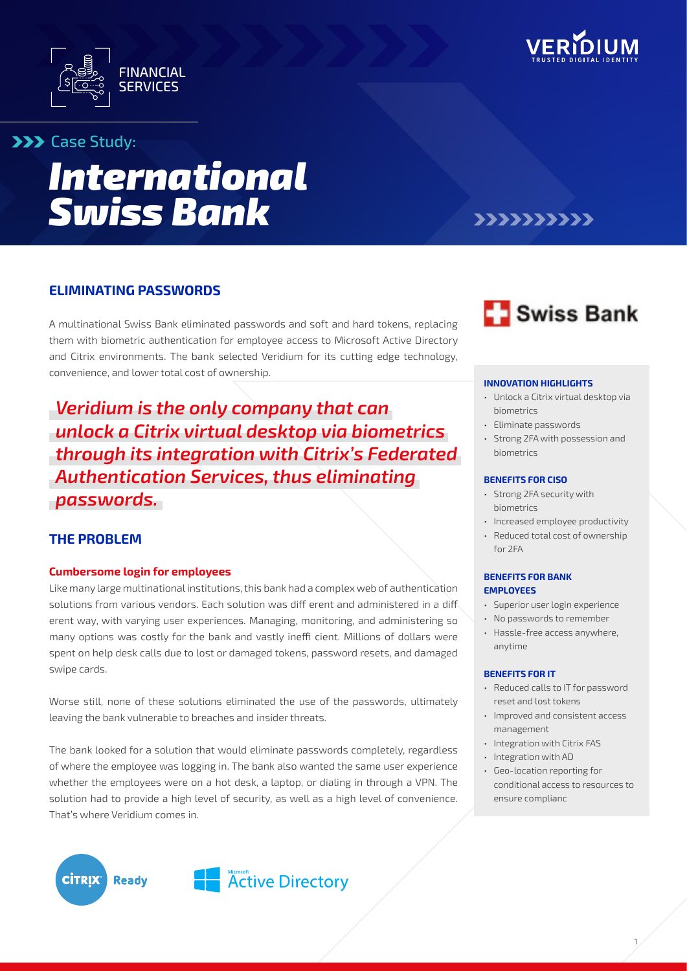



### **XXX** Case Study:

# *International Swiss Bank*

## >>>>>>>>>>

#### **ELIMINATING PASSWORDS**

A multinational Swiss Bank eliminated passwords and soft and hard tokens, replacing them with biometric authentication for employee access to Microsoft Active Directory and Citrix environments. The bank selected Veridium for its cutting edge technology, convenience, and lower total cost of ownership.

# *Veridium is the only company that can unlock a Citrix virtual desktop via biometrics through its integration with Citrix's Federated Authentication Services, thus eliminating passwords.*

#### **THE PROBLEM**

#### **Cumbersome login for employees**

Like many large multinational institutions, this bank had a complex web of authentication solutions from various vendors. Each solution was diff erent and administered in a diff erent way, with varying user experiences. Managing, monitoring, and administering so many options was costly for the bank and vastly ineffi cient. Millions of dollars were spent on help desk calls due to lost or damaged tokens, password resets, and damaged swipe cards.

Worse still, none of these solutions eliminated the use of the passwords, ultimately leaving the bank vulnerable to breaches and insider threats.

The bank looked for a solution that would eliminate passwords completely, regardless of where the employee was logging in. The bank also wanted the same user experience whether the employees were on a hot desk, a laptop, or dialing in through a VPN. The solution had to provide a high level of security, as well as a high level of convenience. That's where Veridium comes in.



#### **INNOVATION HIGHLIGHTS**

- Unlock a Citrix virtual desktop via biometrics
- Eliminate passwords
- Strong 2FA with possession and biometrics

#### **BENEFITS FOR CISO**

- Strong 2FA security with biometrics
- Increased employee productivity
- Reduced total cost of ownership for 2FA

#### **BENEFITS FOR BANK EMPLOYEES**

- Superior user login experience
- No passwords to remember
- Hassle-free access anywhere, anytime

#### **BENEFITS FOR IT**

- Reduced calls to IT for password reset and lost tokens
- Improved and consistent access management
- Integration with Citrix FAS
- Integration with AD
- Geo-location reporting for conditional access to resources to ensure complianc

1